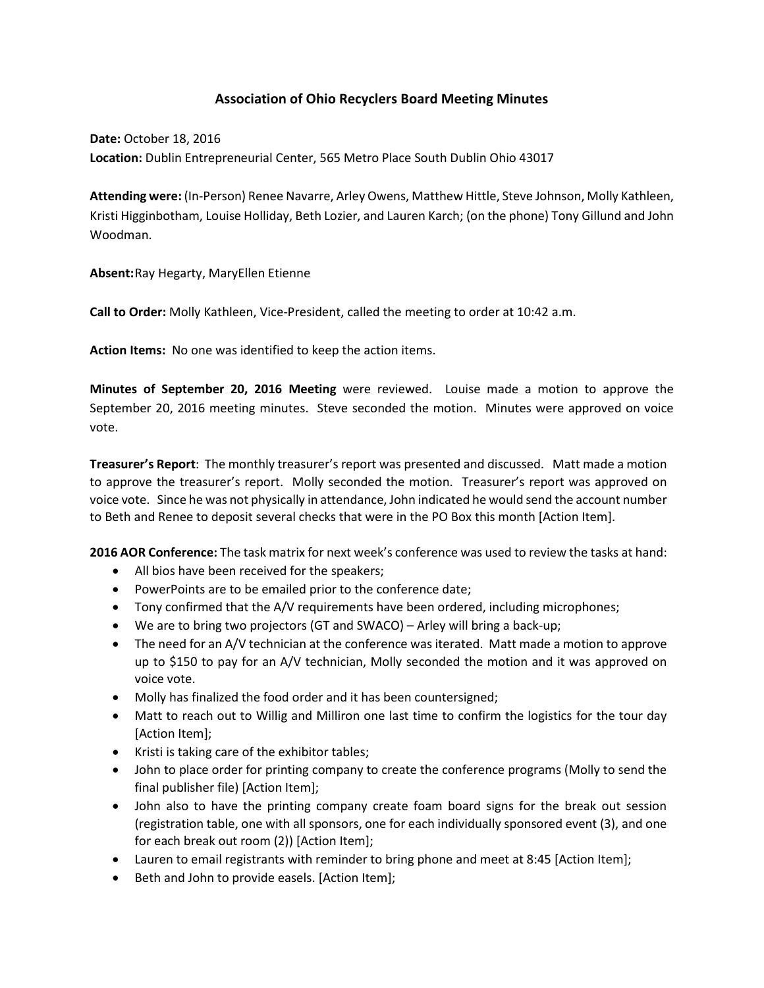## **Association of Ohio Recyclers Board Meeting Minutes**

**Date:** October 18, 2016 **Location:** Dublin Entrepreneurial Center, 565 Metro Place South Dublin Ohio 43017

**Attending were:** (In-Person) Renee Navarre, Arley Owens, Matthew Hittle, Steve Johnson, Molly Kathleen, Kristi Higginbotham, Louise Holliday, Beth Lozier, and Lauren Karch; (on the phone) Tony Gillund and John Woodman.

**Absent:**Ray Hegarty, MaryEllen Etienne

**Call to Order:** Molly Kathleen, Vice-President, called the meeting to order at 10:42 a.m.

**Action Items:** No one was identified to keep the action items.

**Minutes of September 20, 2016 Meeting** were reviewed. Louise made a motion to approve the September 20, 2016 meeting minutes. Steve seconded the motion. Minutes were approved on voice vote.

**Treasurer's Report**: The monthly treasurer's report was presented and discussed. Matt made a motion to approve the treasurer's report. Molly seconded the motion. Treasurer's report was approved on voice vote. Since he was not physically in attendance, John indicated he would send the account number to Beth and Renee to deposit several checks that were in the PO Box this month [Action Item].

**2016 AOR Conference:** The task matrix for next week's conference was used to review the tasks at hand:

- All bios have been received for the speakers;
- PowerPoints are to be emailed prior to the conference date;
- Tony confirmed that the A/V requirements have been ordered, including microphones;
- We are to bring two projectors (GT and SWACO) Arley will bring a back-up;
- The need for an A/V technician at the conference was iterated. Matt made a motion to approve up to \$150 to pay for an A/V technician, Molly seconded the motion and it was approved on voice vote.
- Molly has finalized the food order and it has been countersigned;
- Matt to reach out to Willig and Milliron one last time to confirm the logistics for the tour day [Action Item];
- Kristi is taking care of the exhibitor tables;
- John to place order for printing company to create the conference programs (Molly to send the final publisher file) [Action Item];
- John also to have the printing company create foam board signs for the break out session (registration table, one with all sponsors, one for each individually sponsored event (3), and one for each break out room (2)) [Action Item];
- Lauren to email registrants with reminder to bring phone and meet at 8:45 [Action Item];
- Beth and John to provide easels. [Action Item];